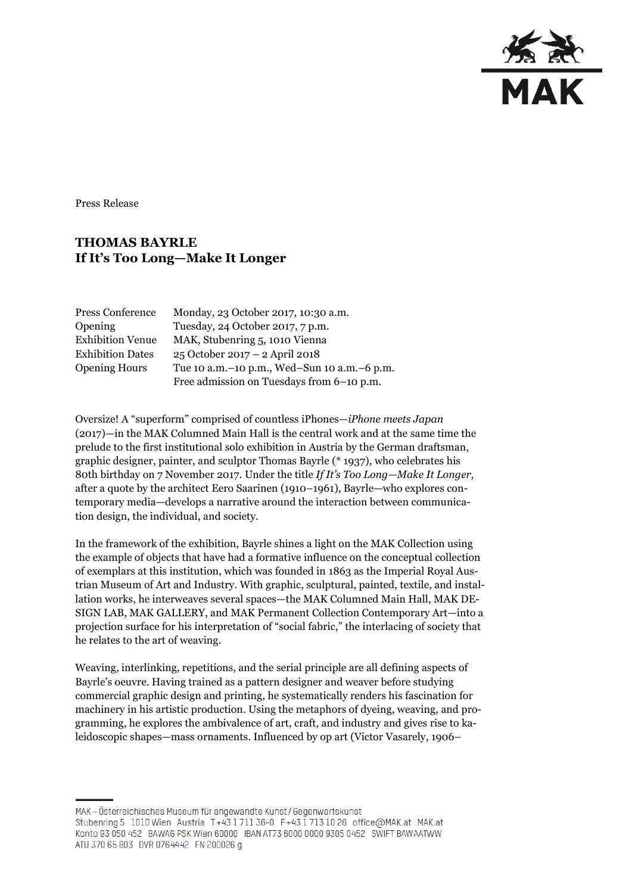

Press Release

## **THOMAS BAYRLE If It's Too Long—Make It Longer**

| Press Conference        | Monday, 23 October 2017, 10:30 a.m.             |
|-------------------------|-------------------------------------------------|
| Opening                 | Tuesday, 24 October 2017, 7 p.m.                |
| <b>Exhibition Venue</b> | MAK, Stubenring 5, 1010 Vienna                  |
| <b>Exhibition Dates</b> | 25 October 2017 – 2 April 2018                  |
| <b>Opening Hours</b>    | Tue 10 a.m. - 10 p.m., Wed-Sun 10 a.m. - 6 p.m. |
|                         | Free admission on Tuesdays from 6-10 p.m.       |

Oversize! A "superform" comprised of countless iPhones—*iPhone meets Japan* (2017)—in the MAK Columned Main Hall is the central work and at the same time the prelude to the first institutional solo exhibition in Austria by the German draftsman, graphic designer, painter, and sculptor Thomas Bayrle (\* 1937), who celebrates his 80th birthday on 7 November 2017. Under the title *If It's Too Long—Make It Longer*, after a quote by the architect Eero Saarinen (1910–1961), Bayrle—who explores contemporary media—develops a narrative around the interaction between communication design, the individual, and society.

In the framework of the exhibition, Bayrle shines a light on the MAK Collection using the example of objects that have had a formative influence on the conceptual collection of exemplars at this institution, which was founded in 1863 as the Imperial Royal Austrian Museum of Art and Industry. With graphic, sculptural, painted, textile, and installation works, he interweaves several spaces—the MAK Columned Main Hall, MAK DE-SIGN LAB, MAK GALLERY, and MAK Permanent Collection Contemporary Art—into a projection surface for his interpretation of "social fabric," the interlacing of society that he relates to the art of weaving.

Weaving, interlinking, repetitions, and the serial principle are all defining aspects of Bayrle's oeuvre. Having trained as a pattern designer and weaver before studying commercial graphic design and printing, he systematically renders his fascination for machinery in his artistic production. Using the metaphors of dyeing, weaving, and programming, he explores the ambivalence of art, craft, and industry and gives rise to kaleidoscopic shapes—mass ornaments. Influenced by op art (Victor Vasarely, 1906–

MAK – Österreichisches Museum für angewandte Kunst/Gegenwartskunst Stubenring 5 1010 Wien Austria T+43 1711 36-0 F+43 1713 10 26 office@MAK.at MAK.at Konto 93 050 452 BAWAG PSK Wien 60000 IBAN AT73 6000 0000 9305 0452 SWIFT BAWAATWW ATU 370 65 803 DVR 0764442 FN 200026 g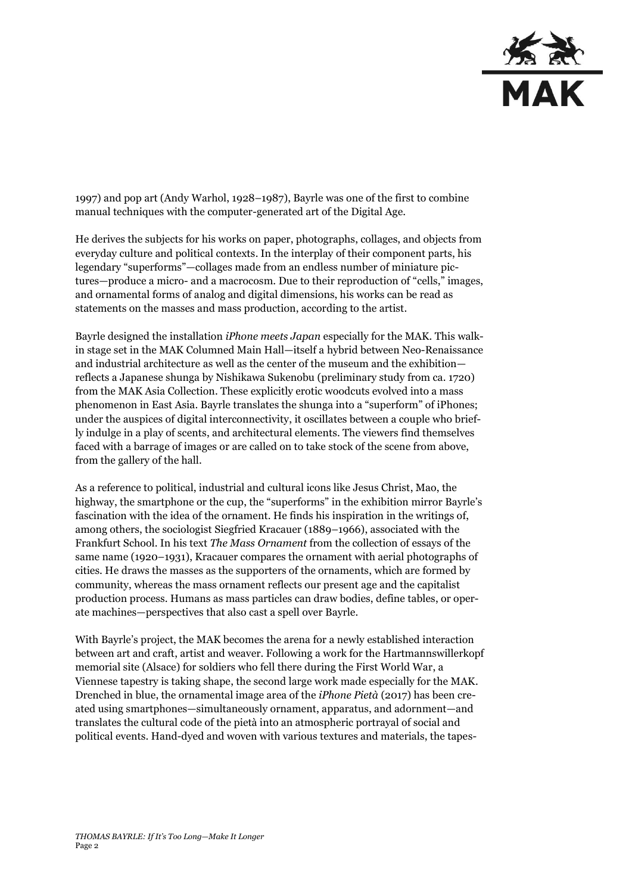

1997) and pop art (Andy Warhol, 1928–1987), Bayrle was one of the first to combine manual techniques with the computer-generated art of the Digital Age.

He derives the subjects for his works on paper, photographs, collages, and objects from everyday culture and political contexts. In the interplay of their component parts, his legendary "superforms"—collages made from an endless number of miniature pictures—produce a micro- and a macrocosm. Due to their reproduction of "cells," images, and ornamental forms of analog and digital dimensions, his works can be read as statements on the masses and mass production, according to the artist.

Bayrle designed the installation *iPhone meets Japan* especially for the MAK. This walkin stage set in the MAK Columned Main Hall—itself a hybrid between Neo-Renaissance and industrial architecture as well as the center of the museum and the exhibition reflects a Japanese shunga by Nishikawa Sukenobu (preliminary study from ca. 1720) from the MAK Asia Collection. These explicitly erotic woodcuts evolved into a mass phenomenon in East Asia. Bayrle translates the shunga into a "superform" of iPhones; under the auspices of digital interconnectivity, it oscillates between a couple who briefly indulge in a play of scents, and architectural elements. The viewers find themselves faced with a barrage of images or are called on to take stock of the scene from above, from the gallery of the hall.

As a reference to political, industrial and cultural icons like Jesus Christ, Mao, the highway, the smartphone or the cup, the "superforms" in the exhibition mirror Bayrle's fascination with the idea of the ornament. He finds his inspiration in the writings of, among others, the sociologist Siegfried Kracauer (1889–1966), associated with the Frankfurt School. In his text *The Mass Ornament* from the collection of essays of the same name (1920–1931), Kracauer compares the ornament with aerial photographs of cities. He draws the masses as the supporters of the ornaments, which are formed by community, whereas the mass ornament reflects our present age and the capitalist production process. Humans as mass particles can draw bodies, define tables, or operate machines—perspectives that also cast a spell over Bayrle.

With Bayrle's project, the MAK becomes the arena for a newly established interaction between art and craft, artist and weaver. Following a work for the Hartmannswillerkopf memorial site (Alsace) for soldiers who fell there during the First World War, a Viennese tapestry is taking shape, the second large work made especially for the MAK. Drenched in blue, the ornamental image area of the *iPhone Pietà* (2017) has been created using smartphones—simultaneously ornament, apparatus, and adornment—and translates the cultural code of the pietà into an atmospheric portrayal of social and political events. Hand-dyed and woven with various textures and materials, the tapes-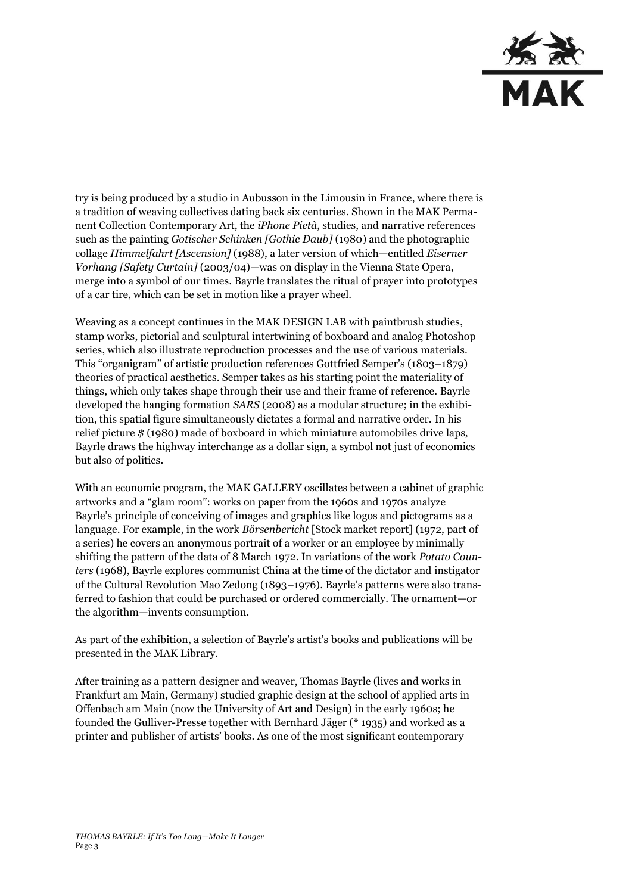

try is being produced by a studio in Aubusson in the Limousin in France, where there is a tradition of weaving collectives dating back six centuries. Shown in the MAK Permanent Collection Contemporary Art, the *iPhone Pietà*, studies, and narrative references such as the painting *Gotischer Schinken [Gothic Daub]* (1980) and the photographic collage *Himmelfahrt [Ascension]* (1988), a later version of which—entitled *Eiserner Vorhang [Safety Curtain]* (2003/04)—was on display in the Vienna State Opera, merge into a symbol of our times. Bayrle translates the ritual of prayer into prototypes of a car tire, which can be set in motion like a prayer wheel.

Weaving as a concept continues in the MAK DESIGN LAB with paintbrush studies, stamp works, pictorial and sculptural intertwining of boxboard and analog Photoshop series, which also illustrate reproduction processes and the use of various materials. This "organigram" of artistic production references Gottfried Semper's (1803–1879) theories of practical aesthetics. Semper takes as his starting point the materiality of things, which only takes shape through their use and their frame of reference. Bayrle developed the hanging formation *SARS* (2008) as a modular structure; in the exhibition, this spatial figure simultaneously dictates a formal and narrative order. In his relief picture *\$* (1980) made of boxboard in which miniature automobiles drive laps, Bayrle draws the highway interchange as a dollar sign, a symbol not just of economics but also of politics.

With an economic program, the MAK GALLERY oscillates between a cabinet of graphic artworks and a "glam room": works on paper from the 1960s and 1970s analyze Bayrle's principle of conceiving of images and graphics like logos and pictograms as a language. For example, in the work *Börsenbericht* [Stock market report] (1972, part of a series) he covers an anonymous portrait of a worker or an employee by minimally shifting the pattern of the data of 8 March 1972. In variations of the work *Potato Counters* (1968), Bayrle explores communist China at the time of the dictator and instigator of the Cultural Revolution Mao Zedong (1893–1976). Bayrle's patterns were also transferred to fashion that could be purchased or ordered commercially. The ornament—or the algorithm—invents consumption.

As part of the exhibition, a selection of Bayrle's artist's books and publications will be presented in the MAK Library.

After training as a pattern designer and weaver, Thomas Bayrle (lives and works in Frankfurt am Main, Germany) studied graphic design at the school of applied arts in Offenbach am Main (now the University of Art and Design) in the early 1960s; he founded the Gulliver-Presse together with Bernhard Jäger (\* 1935) and worked as a printer and publisher of artists' books. As one of the most significant contemporary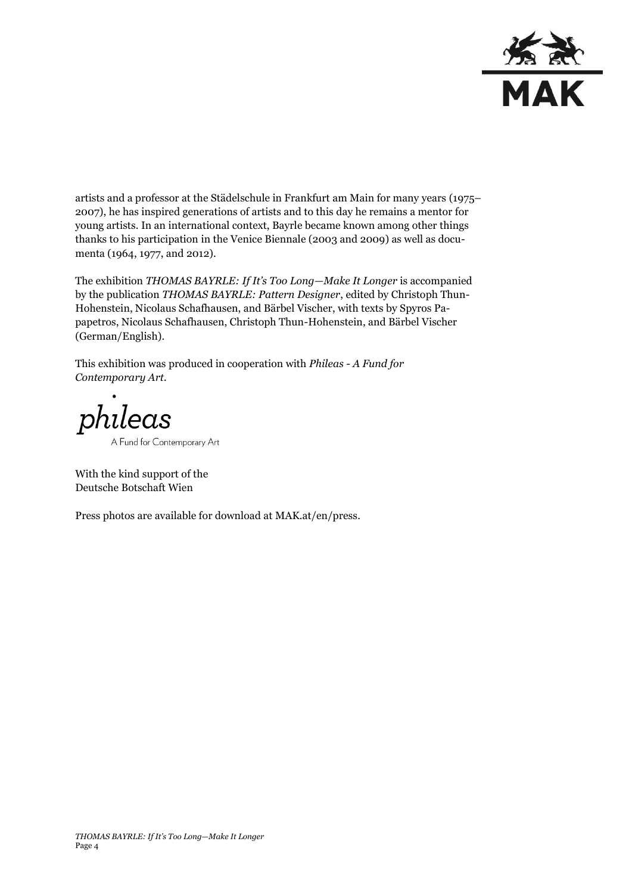

artists and a professor at the Städelschule in Frankfurt am Main for many years (1975– 2007), he has inspired generations of artists and to this day he remains a mentor for young artists. In an international context, Bayrle became known among other things thanks to his participation in the Venice Biennale (2003 and 2009) as well as documenta (1964, 1977, and 2012).

The exhibition *THOMAS BAYRLE: If It's Too Long—Make It Longer* is accompanied by the publication *THOMAS BAYRLE: Pattern Designer*, edited by Christoph Thun-Hohenstein, Nicolaus Schafhausen, and Bärbel Vischer, with texts by Spyros Papapetros, Nicolaus Schafhausen, Christoph Thun-Hohenstein, and Bärbel Vischer (German/English).

This exhibition was produced in cooperation with *Phileas - A Fund for Contemporary Art.*

phileas A Fund for Contemporary Art

With the kind support of the Deutsche Botschaft Wien

Press photos are available for download at MAK.at/en/press.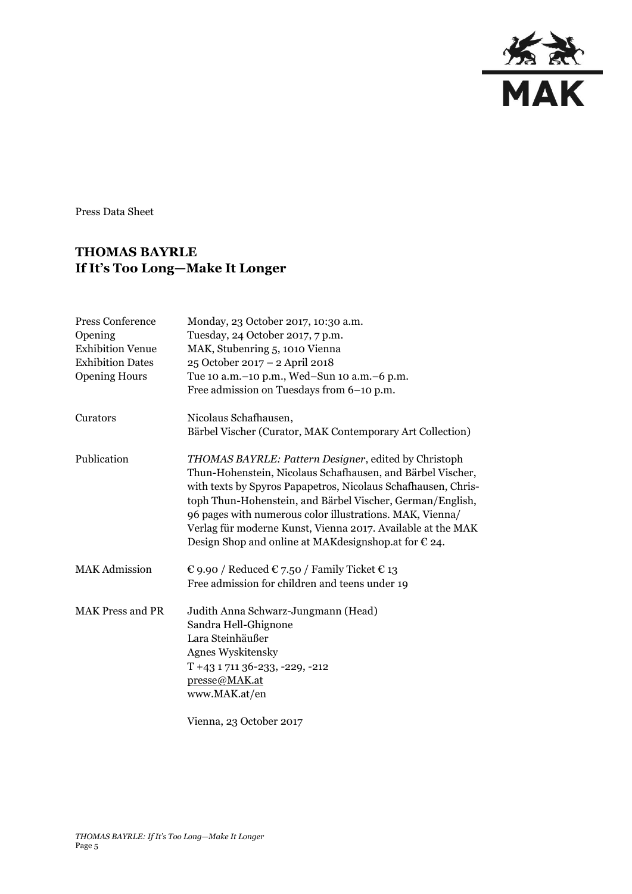

Press Data Sheet

## **THOMAS BAYRLE If It's Too Long—Make It Longer**

| Press Conference<br>Opening<br><b>Exhibition Venue</b><br><b>Exhibition Dates</b><br><b>Opening Hours</b> | Monday, 23 October 2017, 10:30 a.m.<br>Tuesday, 24 October 2017, 7 p.m.<br>MAK, Stubenring 5, 1010 Vienna<br>25 October 2017 - 2 April 2018<br>Tue 10 a.m. - 10 p.m., Wed-Sun 10 a.m. - 6 p.m.<br>Free admission on Tuesdays from 6-10 p.m.                                                                                                                                                                                                    |
|-----------------------------------------------------------------------------------------------------------|------------------------------------------------------------------------------------------------------------------------------------------------------------------------------------------------------------------------------------------------------------------------------------------------------------------------------------------------------------------------------------------------------------------------------------------------|
| Curators                                                                                                  | Nicolaus Schafhausen,<br>Bärbel Vischer (Curator, MAK Contemporary Art Collection)                                                                                                                                                                                                                                                                                                                                                             |
| Publication                                                                                               | THOMAS BAYRLE: Pattern Designer, edited by Christoph<br>Thun-Hohenstein, Nicolaus Schafhausen, and Bärbel Vischer,<br>with texts by Spyros Papapetros, Nicolaus Schafhausen, Chris-<br>toph Thun-Hohenstein, and Bärbel Vischer, German/English,<br>96 pages with numerous color illustrations. MAK, Vienna/<br>Verlag für moderne Kunst, Vienna 2017. Available at the MAK<br>Design Shop and online at MAK designshop. at for $\epsilon$ 24. |
| <b>MAK</b> Admission                                                                                      | € 9.90 / Reduced € 7.50 / Family Ticket € 13<br>Free admission for children and teens under 19                                                                                                                                                                                                                                                                                                                                                 |
| <b>MAK Press and PR</b>                                                                                   | Judith Anna Schwarz-Jungmann (Head)<br>Sandra Hell-Ghignone<br>Lara Steinhäußer<br><b>Agnes Wyskitensky</b><br>T +43 1 711 36-233, -229, -212<br>presse@MAK.at<br>www.MAK.at/en                                                                                                                                                                                                                                                                |

Vienna, 23 October 2017